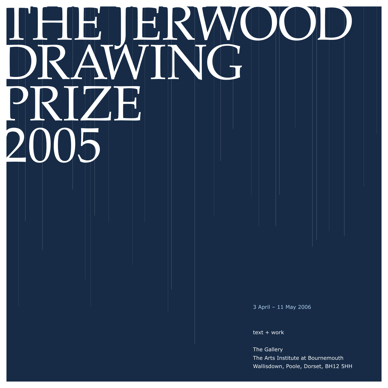# THE JERWOOD<br>RAWING WI PRI<br>200 200

3 April – 11 May 2006

text + work

The Gallery The Arts Institute at Bournemouth Wallisdown, Poole, Dorset, BH12 5HH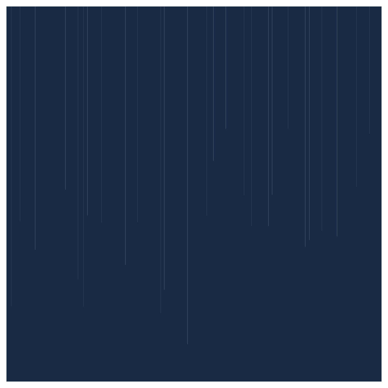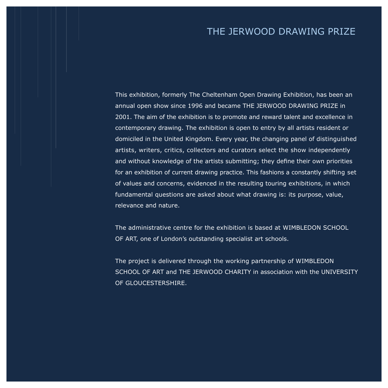### THE JERWOOD DRAWING PRIZE

This exhibition, formerly The Cheltenham Open Drawing Exhibition, has been an annual open show since 1996 and became THE JERWOOD DRAWING PRIZE in 2001. The aim of the exhibition is to promote and reward talent and excellence in contemporary drawing. The exhibition is open to entry by all artists resident or domiciled in the United Kingdom. Every year, the changing panel of distinguished artists, writers, critics, collectors and curators select the show independently and without knowledge of the artists submitting; they define their own priorities for an exhibition of current drawing practice. This fashions a constantly shifting set of values and concerns, evidenced in the resulting touring exhibitions, in which fundamental questions are asked about what drawing is: its purpose, value, relevance and nature.

The administrative centre for the exhibition is based at WIMBLEDON SCHOOL OF ART, one of London's outstanding specialist art schools.

The project is delivered through the working partnership of WIMBLEDON SCHOOL OF ART and THE JERWOOD CHARITY in association with the UNIVERSITY OF GLOUCESTERSHIRE.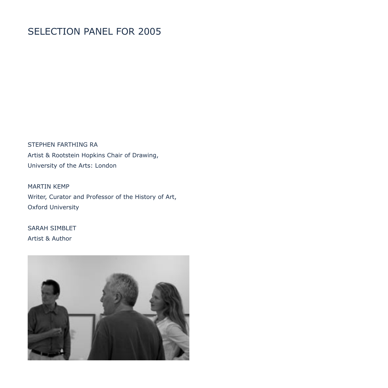# SELECTION PANEL FOR 2005

STEPHEN FARTHING RA Artist & Rootstein Hopkins Chair of Drawing, University of the Arts: London

MARTIN KEMP Writer, Curator and Professor of the History of Art, Oxford University

SARAH SIMBLET Artist & Author

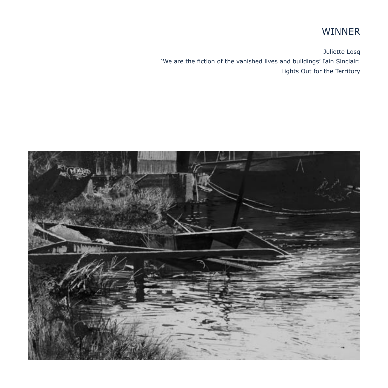# WINNER

Juliette Losq 'We are the fiction of the vanished lives and buildings' Iain Sinclair: Lights Out for the Territory

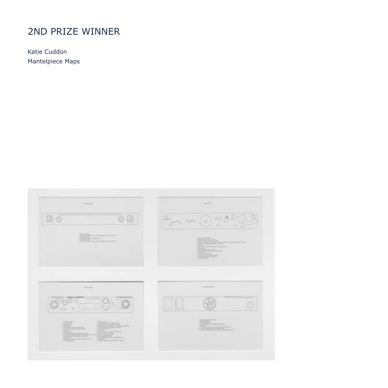# 2ND PRIZE WINNER

Katie Cuddon Mantelpiece Maps

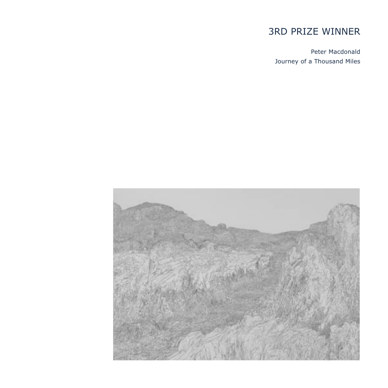# 3RD PRIZE WINNER

Peter Macdonald Journey of a Thousand Miles

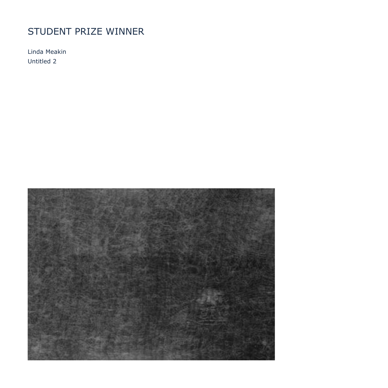# STUDENT PRIZE WINNER

Linda Meakin Untitled 2

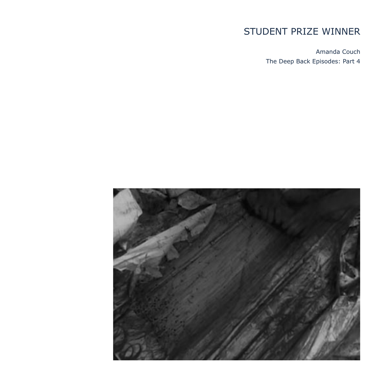# STUDENT PRIZE WINNER

Amanda Couch The Deep Back Episodes: Part 4

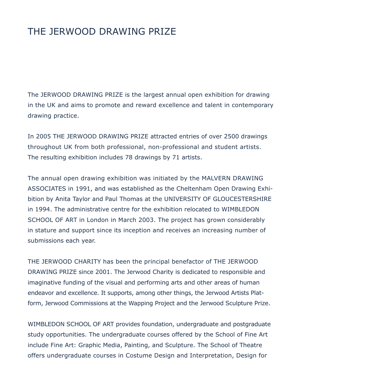## THE JERWOOD DRAWING PRIZE

The JERWOOD DRAWING PRIZE is the largest annual open exhibition for drawing in the UK and aims to promote and reward excellence and talent in contemporary drawing practice.

In 2005 THE JERWOOD DRAWING PRIZE attracted entries of over 2500 drawings throughout UK from both professional, non-professional and student artists. The resulting exhibition includes 78 drawings by 71 artists.

The annual open drawing exhibition was initiated by the MALVERN DRAWING ASSOCIATES in 1991, and was established as the Cheltenham Open Drawing Exhibition by Anita Taylor and Paul Thomas at the UNIVERSITY OF GLOUCESTERSHIRE in 1994. The administrative centre for the exhibition relocated to WIMBLEDON SCHOOL OF ART in London in March 2003. The project has grown considerably in stature and support since its inception and receives an increasing number of submissions each year.

THE JERWOOD CHARITY has been the principal benefactor of THE JERWOOD DRAWING PRIZE since 2001. The Jerwood Charity is dedicated to responsible and imaginative funding of the visual and performing arts and other areas of human endeavor and excellence. It supports, among other things, the Jerwood Artists Platform, Jerwood Commissions at the Wapping Project and the Jerwood Sculpture Prize.

WIMBLEDON SCHOOL OF ART provides foundation, undergraduate and postgraduate study opportunities. The undergraduate courses offered by the School of Fine Art include Fine Art: Graphic Media, Painting, and Sculpture. The School of Theatre offers undergraduate courses in Costume Design and Interpretation, Design for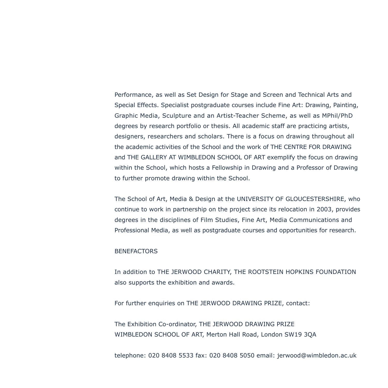Performance, as well as Set Design for Stage and Screen and Technical Arts and Special Effects. Specialist postgraduate courses include Fine Art: Drawing, Painting, Graphic Media, Sculpture and an Artist-Teacher Scheme, as well as MPhil/PhD degrees by research portfolio or thesis. All academic staff are practicing artists, designers, researchers and scholars. There is a focus on drawing throughout all the academic activities of the School and the work of THE CENTRE FOR DRAWING and THE GALLERY AT WIMBLEDON SCHOOL OF ART exemplify the focus on drawing within the School, which hosts a Fellowship in Drawing and a Professor of Drawing to further promote drawing within the School.

The School of Art, Media & Design at the UNIVERSITY OF GLOUCESTERSHIRE, who continue to work in partnership on the project since its relocation in 2003, provides degrees in the disciplines of Film Studies, Fine Art, Media Communications and Professional Media, as well as postgraduate courses and opportunities for research.

#### **BENEFACTORS**

In addition to THE JERWOOD CHARITY, THE ROOTSTEIN HOPKINS FOUNDATION also supports the exhibition and awards.

For further enquiries on THE JERWOOD DRAWING PRIZE, contact:

The Exhibition Co-ordinator, THE JERWOOD DRAWING PRIZE WIMBLEDON SCHOOL OF ART, Merton Hall Road, London SW19 3QA

telephone: 020 8408 5533 fax: 020 8408 5050 email: jerwood@wimbledon.ac.uk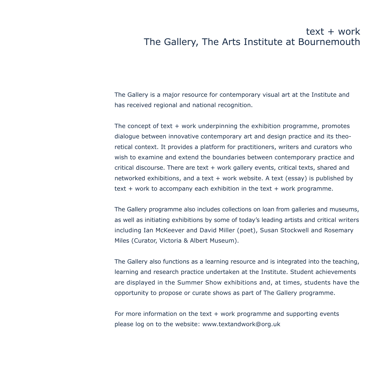## text + work The Gallery, The Arts Institute at Bournemouth

The Gallery is a major resource for contemporary visual art at the Institute and has received regional and national recognition.

The concept of text  $+$  work underpinning the exhibition programme, promotes dialogue between innovative contemporary art and design practice and its theoretical context. It provides a platform for practitioners, writers and curators who wish to examine and extend the boundaries between contemporary practice and critical discourse. There are text + work gallery events, critical texts, shared and networked exhibitions, and a text + work website. A text (essay) is published by text + work to accompany each exhibition in the text + work programme.

The Gallery programme also includes collections on loan from galleries and museums, as well as initiating exhibitions by some of today's leading artists and critical writers including Ian McKeever and David Miller (poet), Susan Stockwell and Rosemary Miles (Curator, Victoria & Albert Museum).

The Gallery also functions as a learning resource and is integrated into the teaching, learning and research practice undertaken at the Institute. Student achievements are displayed in the Summer Show exhibitions and, at times, students have the opportunity to propose or curate shows as part of The Gallery programme.

For more information on the text  $+$  work programme and supporting events please log on to the website: www.textandwork@org.uk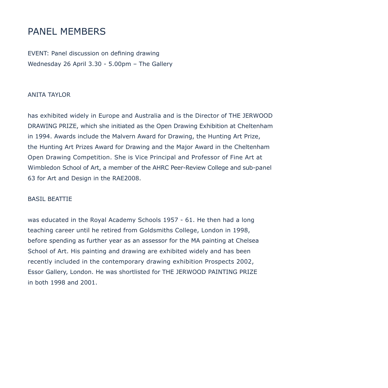## PANEL MEMBERS

EVENT: Panel discussion on defining drawing Wednesday 26 April 3.30 - 5.00pm – The Gallery

#### ANITA TAYLOR

has exhibited widely in Europe and Australia and is the Director of THE JERWOOD DRAWING PRIZE, which she initiated as the Open Drawing Exhibition at Cheltenham in 1994. Awards include the Malvern Award for Drawing, the Hunting Art Prize, the Hunting Art Prizes Award for Drawing and the Major Award in the Cheltenham Open Drawing Competition. She is Vice Principal and Professor of Fine Art at Wimbledon School of Art, a member of the AHRC Peer-Review College and sub-panel 63 for Art and Design in the RAE2008.

#### BASIL BEATTIE

was educated in the Royal Academy Schools 1957 - 61. He then had a long teaching career until he retired from Goldsmiths College, London in 1998, before spending as further year as an assessor for the MA painting at Chelsea School of Art. His painting and drawing are exhibited widely and has been recently included in the contemporary drawing exhibition Prospects 2002, Essor Gallery, London. He was shortlisted for THE JERWOOD PAINTING PRIZE in both 1998 and 2001.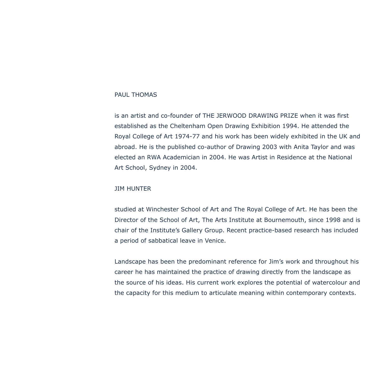#### PAUL THOMAS

is an artist and co-founder of THE JERWOOD DRAWING PRIZE when it was first established as the Cheltenham Open Drawing Exhibition 1994. He attended the Royal College of Art 1974-77 and his work has been widely exhibited in the UK and abroad. He is the published co-author of Drawing 2003 with Anita Taylor and was elected an RWA Academician in 2004. He was Artist in Residence at the National Art School, Sydney in 2004.

#### JIM HUNTER

studied at Winchester School of Art and The Royal College of Art. He has been the Director of the School of Art, The Arts Institute at Bournemouth, since 1998 and is chair of the Institute's Gallery Group. Recent practice-based research has included a period of sabbatical leave in Venice.

Landscape has been the predominant reference for Jim's work and throughout his career he has maintained the practice of drawing directly from the landscape as the source of his ideas. His current work explores the potential of watercolour and the capacity for this medium to articulate meaning within contemporary contexts.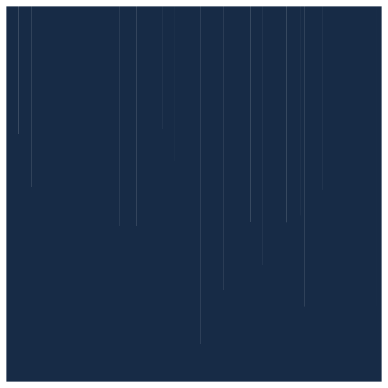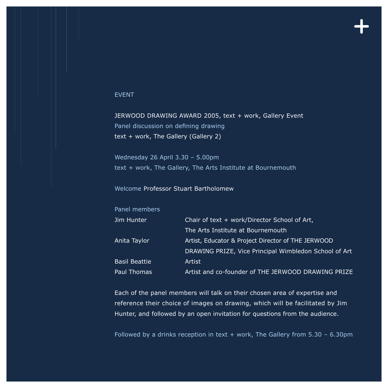#### EVENT

JERWOOD DRAWING AWARD 2005, text + work, Gallery Event Panel discussion on defining drawing text + work, The Gallery (Gallery 2)

Wednesday 26 April 3.30 – 5.00pm text + work, The Gallery, The Arts Institute at Bournemouth

#### Welcome Professor Stuart Bartholomew

## Panel members Jim Hunter Chair of text + work/Director School of Art, The Arts Institute at Bournemouth Anita Taylor Artist, Educator & Project Director of THE JERWOOD DRAWING PRIZE, Vice Principal Wimbledon School of Art Basil Beattie Artist Paul Thomas **Artist and co-founder of THE JERWOOD DRAWING PRIZE**

Each of the panel members will talk on their chosen area of expertise and reference their choice of images on drawing, which will be facilitated by Jim Hunter, and followed by an open invitation for questions from the audience.

Followed by a drinks reception in text + work, The Gallery from  $5.30 - 6.30$ pm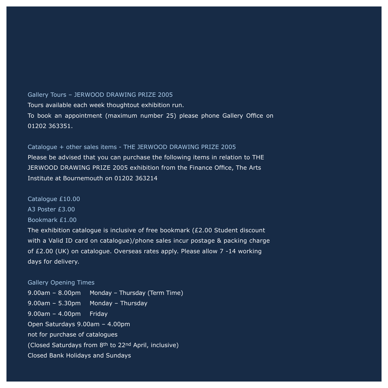Gallery Tours – JERWOOD DRAWING PRIZE 2005 Tours available each week thoughtout exhibition run. To book an appointment (maximum number 25) please phone Gallery Office on 01202 363351.

Catalogue + other sales items - THE JERWOOD DRAWING PRIZE 2005 Please be advised that you can purchase the following items in relation to THE JERWOOD DRAWING PRIZE 2005 exhibition from the Finance Office, The Arts Institute at Bournemouth on 01202 363214

Catalogue £10.00 A3 Poster £3.00 Bookmark £1.00 The exhibition catalogue is inclusive of free bookmark (£2.00 Student discount with a Valid ID card on catalogue)/phone sales incur postage & packing charge of £2.00 (UK) on catalogue. Overseas rates apply. Please allow 7 -14 working days for delivery.

Gallery Opening Times 9.00am – 8.00pm Monday – Thursday (Term Time) 9.00am – 5.30pm Monday – Thursday 9.00am – 4.00pm Friday Open Saturdays 9.00am – 4.00pm not for purchase of catalogues (Closed Saturdays from 8th to 22nd April, inclusive) Closed Bank Holidays and Sundays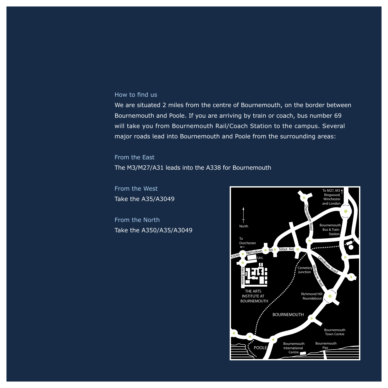#### How to find us

We are situated 2 miles from the centre of Bournemouth, on the border between Bournemouth and Poole. If you are arriving by train or coach, bus number 69 will take you from Bournemouth Rail/Coach Station to the campus. Several major roads lead into Bournemouth and Poole from the surrounding areas:

#### From the Fast

The M3/M27/A31 leads into the A338 for Bournemouth

From the West Take the A35/A3049

From the North Take the A350/A35/A3049

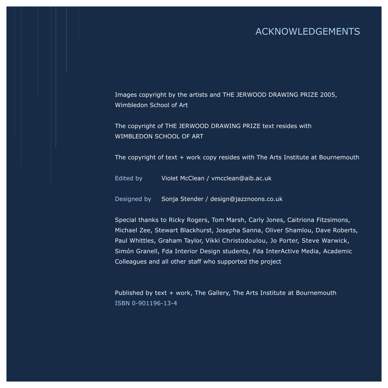## ACKNOWLEDGEMENTS

Images copyright by the artists and THE JERWOOD DRAWING PRIZE 2005, Wimbledon School of Art

The copyright of THE JERWOOD DRAWING PRIZE text resides with WIMBLEDON SCHOOL OF ART

The copyright of text + work copy resides with The Arts Institute at Bournemouth

Edited by Violet McClean / vmcclean@aib.ac.uk

Designed by Sonja Stender / design@jazznoons.co.uk

Special thanks to Ricky Rogers, Tom Marsh, Carly Jones, Caitriona Fitzsimons, Michael Zee, Stewart Blackhurst, Josepha Sanna, Oliver Shamlou, Dave Roberts, Paul Whittles, Graham Taylor, Vikki Christodoulou, Jo Porter, Steve Warwick, Simón Granell, Fda Interior Design students, Fda InterActive Media, Academic Colleagues and all other staff who supported the project

Published by text + work, The Gallery, The Arts Institute at Bournemouth ISBN 0-901196-13-4